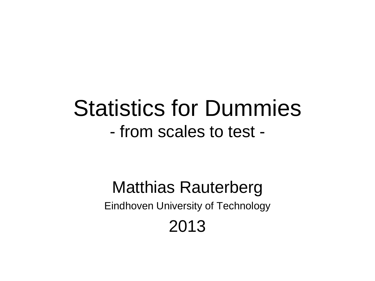# Statistics for Dummies - from scales to test -

### Matthias Rauterberg Eindhoven University of Technology 2013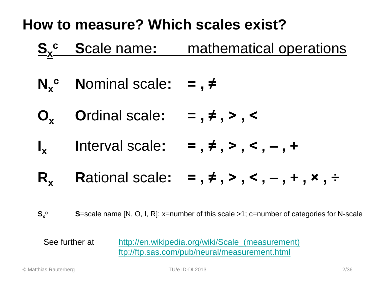### **How to measure? Which scales exist?**



- $N_x^c$  **Nominal scale:** =,  $\neq$
- **O<sup>x</sup> O**rdinal scale**: = , ≠ , > , <**
- $\mathbf{I}_{\mathbf{v}}$ **Interval scale:**  $=$ ,  $\neq$ ,  $>$ ,  $\lt$ ,  $-$ ,  $+$
- **R<sub>x</sub> Rational scale:**  $=$  ,  $\neq$  ,  $>$  ,  $\lt$  ,  $-$  ,  $+$  ,  $\times$  ,  $\div$

**Sx S**=scale name [N, O, I, R]; x=number of this scale >1; c=number of categories for N-scale

See further at [http://en.wikipedia.org/wiki/Scale\\_\(measurement\)](http://en.wikipedia.org/wiki/Scale_(measurement)) <ftp://ftp.sas.com/pub/neural/measurement.html>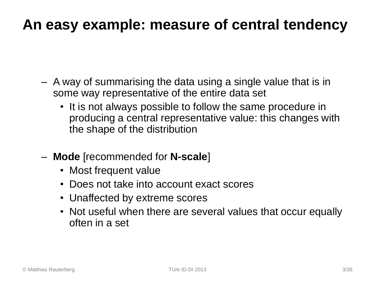### **An easy example: measure of central tendency**

- A way of summarising the data using a single value that is in some way representative of the entire data set
	- It is not always possible to follow the same procedure in producing a central representative value: this changes with the shape of the distribution
- **Mode** [recommended for **N-scale**]
	- Most frequent value
	- Does not take into account exact scores
	- Unaffected by extreme scores
	- Not useful when there are several values that occur equally often in a set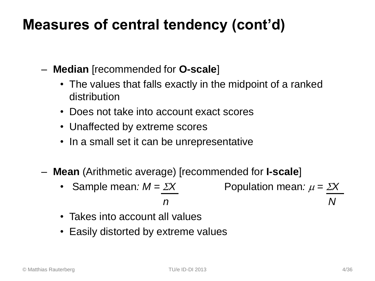### **Measures of central tendency (cont'd)**

- **Median** [recommended for **O-scale**]
	- The values that falls exactly in the midpoint of a ranked distribution
	- Does not take into account exact scores
	- Unaffected by extreme scores
	- In a small set it can be unrepresentative
- **Mean** (Arithmetic average) [recommended for **I-scale**]
	- Sample mean:  $M = \Sigma X$  Population mean:  $\mu = \Sigma X$  *n N*
	- Takes into account all values
	- Easily distorted by extreme values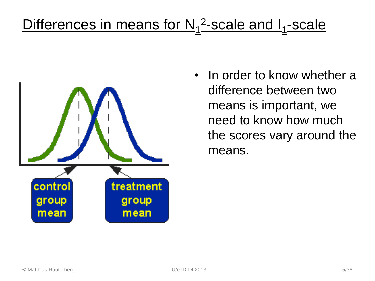## Differences in means for N<sub>1</sub><sup>2</sup>-scale and I<sub>1</sub>-scale



• In order to know whether a difference between two means is important, we need to know how much the scores vary around the means.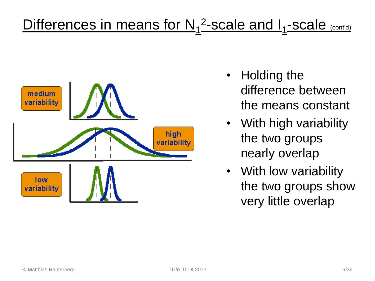## Differences in means for N<sub>1</sub><sup>2</sup>-scale and I<sub>1</sub>-scale (cont'd)



- Holding the difference between the means constant
- With high variability the two groups nearly overlap
- With low variability the two groups show very little overlap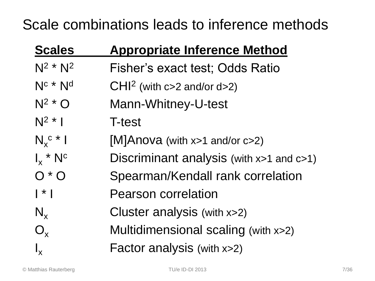#### Scale combinations leads to inference methods

| <b>Scales</b>          | <b>Appropriate Inference Method</b>           |
|------------------------|-----------------------------------------------|
| $N^2$ * $N^2$          | Fisher's exact test; Odds Ratio               |
| $N_c$ * $N_d$          | $CHI2$ (with c>2 and/or d>2)                  |
| $N^2$ * O              | Mann-Whitney-U-test                           |
| $N^2$ *                | <b>T-test</b>                                 |
| $N_{x}$ <sup>c</sup> * | [M]Anova (with x>1 and/or c>2)                |
| $I_x * N^c$            | Discriminant analysis (with $x>1$ and $c>1$ ) |
| $O \cdot O$            | Spearman/Kendall rank correlation             |
| $\vert * \vert$        | <b>Pearson correlation</b>                    |
| $N_{x}$                | Cluster analysis (with x>2)                   |
| $O_{\rm x}$            | Multidimensional scaling (with x>2)           |
|                        | Factor analysis (with x>2)                    |
|                        |                                               |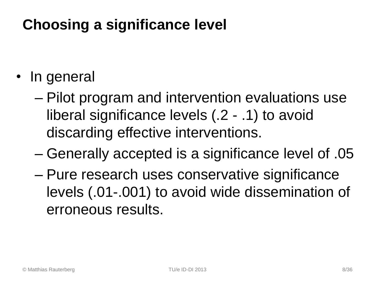### **Choosing a significance level**

- In general
	- Pilot program and intervention evaluations use liberal significance levels (.2 - .1) to avoid discarding effective interventions.
	- Generally accepted is a significance level of .05
	- Pure research uses conservative significance levels (.01-.001) to avoid wide dissemination of erroneous results.